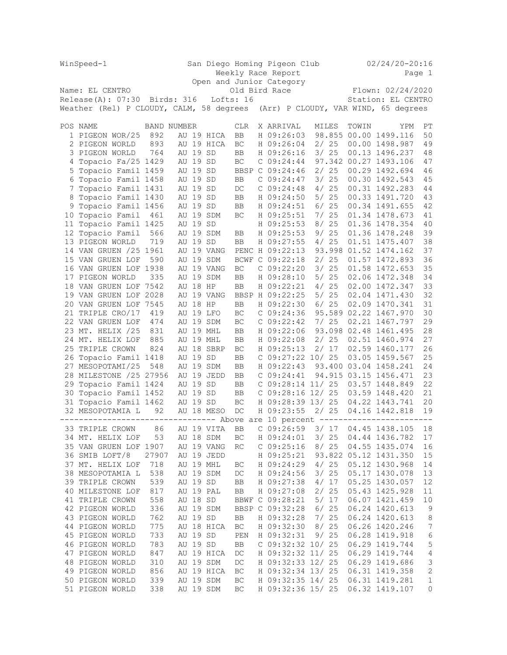| WinSpeed-1 |                                                                                |                    |                            |          | San Diego Homing Pigeon Club<br>Weekly Race Report<br>Open and Junior Category |                     |  |                          |  |  |        |                                         |       | $02/24/20 - 20:16$<br>Page 1            |                  |  |  |
|------------|--------------------------------------------------------------------------------|--------------------|----------------------------|----------|--------------------------------------------------------------------------------|---------------------|--|--------------------------|--|--|--------|-----------------------------------------|-------|-----------------------------------------|------------------|--|--|
|            | Name: EL CENTRO                                                                |                    |                            |          |                                                                                |                     |  |                          |  |  |        |                                         |       |                                         |                  |  |  |
|            | Release(A): 07:30 Birds: 316                                                   |                    | Old Bird Race<br>Lofts: 16 |          |                                                                                |                     |  |                          |  |  |        | Flown: 02/24/2020<br>Station: EL CENTRO |       |                                         |                  |  |  |
|            | Weather (Rel) P CLOUDY, CALM, 58 degrees                                       |                    |                            |          |                                                                                |                     |  |                          |  |  |        |                                         |       | (Arr) P CLOUDY, VAR WIND, 65 degrees    |                  |  |  |
|            | POS NAME                                                                       | <b>BAND NUMBER</b> |                            |          |                                                                                | <b>CLR</b>          |  | X ARRIVAL                |  |  | MILES  |                                         | TOWIN | YPM                                     | PT               |  |  |
|            | 1 PIGEON WOR/25                                                                | 892                |                            |          | AU 19 HICA                                                                     | <b>BB</b>           |  | H 09:26:03               |  |  |        |                                         |       | 98.855 00.00 1499.116                   | 50               |  |  |
|            | 2 PIGEON WORLD                                                                 | 893                |                            |          | AU 19 HICA                                                                     | BC                  |  | H 09:26:04               |  |  | 2/25   |                                         |       | 00.00 1498.987                          | 49               |  |  |
|            | 3 PIGEON WORLD                                                                 | 764                |                            | AU 19 SD |                                                                                | BB                  |  | H 09:26:16               |  |  | 3/25   |                                         |       | 00.13 1496.237                          | 48               |  |  |
| 4          | Topacio Fa/25 1429                                                             |                    |                            | AU 19 SD |                                                                                | $\operatorname{BC}$ |  | C 09:24:44               |  |  |        |                                         |       | 97.342 00.27 1493.106                   | 47               |  |  |
|            | 5 Topacio Famil 1459                                                           |                    |                            | AU 19 SD |                                                                                | BBSP C 09:24:46     |  |                          |  |  | 2/25   |                                         |       | 00.29 1492.694                          | 46               |  |  |
| 6          | Topacio Famil 1458                                                             |                    |                            | AU 19 SD |                                                                                | BB                  |  | C 09:24:47               |  |  | 3/25   |                                         |       | 00.30 1492.543                          | 45               |  |  |
| 7          | Topacio Famil 1431                                                             |                    |                            | AU 19 SD |                                                                                | DC                  |  | C 09:24:48               |  |  | 4/25   |                                         |       | 00.31 1492.283                          | 44               |  |  |
|            | 8 Topacio Famil 1430                                                           |                    |                            | AU 19 SD |                                                                                | BB                  |  | H 09:24:50               |  |  | 5/25   |                                         |       | 00.33 1491.720                          | 43               |  |  |
| 9          | Topacio Famil 1456                                                             |                    |                            | AU 19 SD |                                                                                | BB                  |  | H 09:24:51               |  |  | 6/25   |                                         |       | 00.34 1491.655                          | 42               |  |  |
|            | 10 Topacio Famil                                                               | 461                |                            |          | AU 19 SDM                                                                      | BC                  |  | H 09:25:51               |  |  | 7/25   |                                         |       | 01.34 1478.673                          | 41               |  |  |
| 11         | Topacio Famil 1425                                                             |                    |                            | AU 19 SD |                                                                                |                     |  | H 09:25:53               |  |  | 8 / 25 |                                         |       | 01.36 1478.354                          | 40               |  |  |
| 12         | Topacio Famil                                                                  | 566                |                            |          | AU 19 SDM                                                                      | BB                  |  | H 09:25:53               |  |  |        | 9/25                                    |       | 01.36 1478.248                          | 39               |  |  |
|            | 13 PIGEON WORLD                                                                | 719                |                            | AU 19 SD |                                                                                | BB                  |  | H 09:27:55               |  |  | 4/25   |                                         |       | 01.51 1475.407                          | 38               |  |  |
|            | 14 VAN GRUEN /25 1961                                                          |                    |                            |          | AU 19 VANG                                                                     | PENC H 09:22:13     |  |                          |  |  |        |                                         |       | 93.998 01.52 1474.162                   | 37               |  |  |
|            | 15 VAN GRUEN LOF                                                               | 590                | AU                         |          | 19 SDM                                                                         | BCWF                |  | C 09:22:18               |  |  |        | 2/25                                    |       | 01.57 1472.893                          | 36               |  |  |
|            | 16 VAN GRUEN LOF 1938                                                          |                    |                            |          | AU 19 VANG                                                                     | BC                  |  | C 09:22:20               |  |  | 3/25   |                                         |       | 01.58 1472.653                          | 35               |  |  |
|            | 17 PIGEON WORLD                                                                | 335                |                            |          | AU 19 SDM                                                                      | <b>BB</b>           |  | H 09:28:10               |  |  |        | 5/25                                    |       | 02.06 1472.348                          | 34               |  |  |
|            | 18 VAN GRUEN LOF 7542                                                          |                    |                            | AU 18 HP |                                                                                | BB                  |  | H 09:22:21               |  |  | 4/25   |                                         |       | 02.00 1472.347                          | 33               |  |  |
|            | 19 VAN GRUEN LOF 2028                                                          |                    | AU                         |          | 19 VANG                                                                        | BBSP H 09:22:25     |  |                          |  |  |        | 5/25                                    |       | 02.04 1471.430                          | 32               |  |  |
|            | 20 VAN GRUEN LOF 7545                                                          |                    | AU                         | 18 HP    |                                                                                | <b>BB</b>           |  | H 09:22:30               |  |  | 6/25   |                                         |       | 02.09 1470.341                          | 31               |  |  |
|            | 21 TRIPLE CRO/17                                                               | 419                |                            |          | AU 19 LFO                                                                      | BC                  |  | C 09:24:36               |  |  |        |                                         |       | 95.589 02.22 1467.970                   | 30               |  |  |
|            | 22 VAN GRUEN LOF                                                               | 474                |                            |          | AU 19 SDM                                                                      | BC                  |  | C 09:22:42               |  |  | 7/25   |                                         |       | 02.21 1467.797                          | 29               |  |  |
|            | 23 MT. HELIX /25                                                               | 831                |                            |          | AU 19 MHL                                                                      | BB                  |  | H 09:22:06               |  |  |        |                                         |       | 93.098 02.48 1461.495                   | 28               |  |  |
|            | 24 MT. HELIX LOF                                                               | 885                |                            |          | AU 19 MHL                                                                      | BB                  |  | H 09:22:08               |  |  |        | 2/25                                    |       | 02.51 1460.974                          | 27               |  |  |
| 25         | TRIPLE CROWN                                                                   | 824                | AU                         |          | 18 SBRP                                                                        | BC                  |  | H 09:25:13               |  |  |        | 2/17                                    |       | 02.59 1460.177                          | 26               |  |  |
| 26         | Topacio Famil 1418                                                             |                    |                            | AU 19 SD |                                                                                | <b>BB</b>           |  | C 09:27:22 10/ 25        |  |  |        |                                         |       | 03.05 1459.567                          | 25<br>24         |  |  |
|            | 27 MESOPOTAMI/25                                                               | 548                |                            |          | AU 19 SDM<br>AU 19 JEDD                                                        | BB                  |  | H 09:22:43<br>C 09:24:41 |  |  |        |                                         |       | 93.400 03.04 1458.241                   | 23               |  |  |
| 29         | 28 MILESTONE /25 27956<br>Topacio Famil 1424                                   |                    |                            | AU 19 SD |                                                                                | BB<br>BB            |  | $C$ 09:28:14 11/ 25      |  |  |        |                                         |       | 94.915 03.15 1456.471<br>03.57 1448.849 | 22               |  |  |
| 30         | Topacio Famil 1452                                                             |                    |                            | AU 19 SD |                                                                                | BB                  |  | $C$ 09:28:16 12/ 25      |  |  |        |                                         |       | 03.59 1448.420                          | 21               |  |  |
|            | 31 Topacio Famil 1462                                                          |                    |                            | AU 19 SD |                                                                                | BC                  |  | H 09:28:39 13/ 25        |  |  |        |                                         |       | 04.22 1443.741                          | 20               |  |  |
|            | 32 MESOPOTAMIA L                                                               | 92                 |                            |          | AU 18 MESO                                                                     | DC                  |  | H 09:23:55               |  |  |        | 2/25                                    |       | 04.16 1442.818                          | 19               |  |  |
|            | -------------------------------- Above are 10 percent ------------------------ |                    |                            |          |                                                                                |                     |  |                          |  |  |        |                                         |       |                                         |                  |  |  |
|            | 33 TRIPLE CROWN 86 AU 19 VITA                                                  |                    |                            |          |                                                                                | ${\rm BB}$          |  |                          |  |  |        |                                         |       | C 09:26:59 3/ 17 04.45 1438.105 18      |                  |  |  |
|            | 34 MT. HELIX LOF                                                               | 53                 |                            |          | AU 18 SDM                                                                      | ВC                  |  | H 09:24:01               |  |  | 3/25   |                                         |       | 04.44 1436.782                          | 17               |  |  |
|            | 35 VAN GRUEN LOF 1907                                                          |                    |                            |          | AU 19 VANG                                                                     | RC                  |  | C 09:25:16               |  |  |        | 8/25                                    |       | 04.55 1435.074                          | 16               |  |  |
|            | 36 SMIB LOFT/8                                                                 | 27907              |                            |          | AU 19 JEDD                                                                     |                     |  | H 09:25:21               |  |  |        |                                         |       | 93.822 05.12 1431.350                   | $15\,$           |  |  |
|            | 37 MT. HELIX LOF                                                               | 718                |                            |          | AU 19 MHL                                                                      | BC                  |  | H 09:24:29               |  |  |        | 4/25                                    |       | 05.12 1430.968                          | 14               |  |  |
|            | 38 MESOPOTAMIA L                                                               | 538                |                            |          | AU 19 SDM                                                                      | $_{\mathrm{DC}}$    |  | H 09:24:56               |  |  | $3/25$ |                                         |       | 05.17 1430.078                          | 13               |  |  |
|            | 39 TRIPLE CROWN                                                                | 539                |                            | AU 19 SD |                                                                                | BB                  |  | H 09:27:38               |  |  |        | 4/17                                    |       | 05.25 1430.057                          | 12               |  |  |
|            | 40 MILESTONE LOF                                                               | 817                |                            |          | AU 19 PAL                                                                      | BB                  |  | H 09:27:08               |  |  | 2/25   |                                         |       | 05.43 1425.928                          | 11               |  |  |
|            | 41 TRIPLE CROWN                                                                | 558                |                            | AU 18 SD |                                                                                | BBWF C 09:28:21     |  |                          |  |  |        | 5/17                                    |       | 06.07 1421.459                          | $10$             |  |  |
|            | 42 PIGEON WORLD                                                                | 336                |                            |          | AU 19 SDM                                                                      | BBSP C 09:32:28     |  |                          |  |  | 6/25   |                                         |       | 06.24 1420.613                          | $\overline{9}$   |  |  |
|            | 43 PIGEON WORLD                                                                | 762                |                            | AU 19 SD |                                                                                | BB                  |  | H 09:32:28               |  |  | 7/25   |                                         |       | 06.24 1420.613                          | $\,8\,$          |  |  |
|            | 44 PIGEON WORLD                                                                | 775                |                            |          | AU 18 HICA                                                                     | BC                  |  | H 09:32:30               |  |  | 8/25   |                                         |       | 06.26 1420.246                          | $\boldsymbol{7}$ |  |  |
|            | 45 PIGEON WORLD                                                                | 733                |                            | AU 19 SD |                                                                                | PEN                 |  | H 09:32:31               |  |  |        | 9/25                                    |       | 06.28 1419.918                          | $\sqrt{6}$       |  |  |
|            | 46 PIGEON WORLD                                                                | 783                |                            | AU 19 SD |                                                                                | BB                  |  | C 09:32:32 10/ 25        |  |  |        |                                         |       | 06.29 1419.744                          | $\mathsf S$      |  |  |
|            | 47 PIGEON WORLD                                                                | 847                |                            |          | AU 19 HICA                                                                     | $_{\mathrm{DC}}$    |  | H 09:32:32 11/ 25        |  |  |        |                                         |       | 06.29 1419.744                          | $\sqrt{4}$       |  |  |
|            | 48 PIGEON WORLD                                                                | 310                |                            |          | AU 19 SDM                                                                      | $_{\mathrm{DC}}$    |  | H 09:32:33 12/ 25        |  |  |        |                                         |       | 06.29 1419.686                          | $\mathsf 3$      |  |  |
|            | 49 PIGEON WORLD                                                                | 856                |                            |          | AU 19 HICA                                                                     | BC                  |  | H 09:32:34 13/ 25        |  |  |        |                                         |       | 06.31 1419.358                          | $\sqrt{2}$       |  |  |
|            | 50 PIGEON WORLD                                                                | 339                |                            |          | AU 19 SDM                                                                      | $\operatorname{BC}$ |  | H 09:32:35 14/ 25        |  |  |        |                                         |       | 06.31 1419.281                          | $\mathbf 1$      |  |  |
|            | 51 PIGEON WORLD                                                                | 338                |                            |          | AU 19 SDM                                                                      | BC                  |  | H 09:32:36 15/ 25        |  |  |        |                                         |       | 06.32 1419.107                          | 0                |  |  |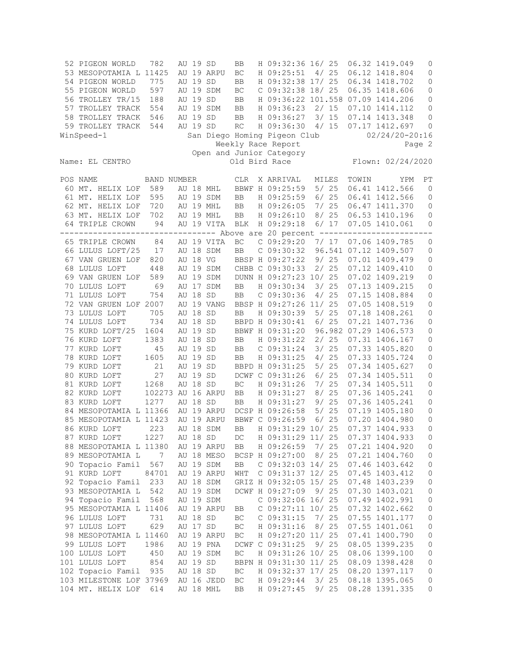| 52 PIGEON WORLD              | 782                       |    | AU 19 SD             |            | <b>BB</b>              | H 09:32:36 16/ 25                 |              |    |               | 06.32 1419.049                   | 0                 |
|------------------------------|---------------------------|----|----------------------|------------|------------------------|-----------------------------------|--------------|----|---------------|----------------------------------|-------------------|
| 53 MESOPOTAMIA L 11425       |                           |    |                      | AU 19 ARPU | BC                     | H 09:25:51                        | 4/           | 25 |               | 06.12 1418.804                   | $\mathsf{O}$      |
| 54 PIGEON WORLD              | 775                       |    | AU 19                | SD         | <b>BB</b>              | H 09:32:38 17/ 25                 |              |    |               | 06.34 1418.702                   | 0                 |
| 55 PIGEON WORLD              | 597                       |    |                      | AU 19 SDM  | BC                     | $C$ 09:32:38 18/25                |              |    |               | 06.35 1418.606                   | 0                 |
| 56 TROLLEY TR/15             | 188                       |    | AU 19 SD             |            | <b>BB</b>              | H 09:36:22 101.558 07.09 1414.206 |              |    |               |                                  | 0                 |
| 57 TROLLEY TRACK             | 554                       |    |                      | AU 19 SDM  | <b>BB</b>              | H 09:36:23                        | 2/15         |    |               | 07.10 1414.112                   | $\mathsf{O}$      |
| 58 TROLLEY TRACK             | 546                       |    | AU 19 SD             |            | <b>BB</b>              | H 09:36:27                        | $3/15$       |    |               | 07.14 1413.348                   | 0                 |
| 59 TROLLEY TRACK             | 544                       |    | AU 19 SD             |            | RC                     | H 09:36:30                        | 4/15         |    |               | 07.17 1412.697                   | $\mathbf 0$       |
| WinSpeed-1                   |                           |    |                      |            |                        | San Diego Homing Pigeon Club      |              |    |               | $02/24/20 - 20:16$               |                   |
|                              |                           |    |                      |            |                        | Weekly Race Report                |              |    |               |                                  | Page 2            |
|                              |                           |    |                      |            |                        | Open and Junior Category          |              |    |               |                                  |                   |
| Name: EL CENTRO              |                           |    |                      |            |                        | Old Bird Race                     |              |    |               | Flown: 02/24/2020                |                   |
| POS NAME                     | <b>BAND NUMBER</b>        |    |                      |            | CLR                    | X ARRIVAL                         | MILES        |    | TOWIN         | YPM                              | PT                |
| 60 MT. HELIX LOF             | 589                       |    |                      | AU 18 MHL  |                        | BBWF H 09:25:59                   | 5/25         |    |               | 06.41 1412.566                   | 0                 |
| 61 MT. HELIX LOF             | 595                       |    |                      | AU 19 SDM  | ${\rm BB}$             | H 09:25:59                        | 6/25         |    |               | 06.41 1412.566                   | $\circ$           |
| 62 MT. HELIX LOF             | 720                       |    |                      | AU 19 MHL  | BB                     | H 09:26:05                        | 7/25         |    |               | 06.47 1411.370                   | 0                 |
| 63 MT. HELIX LOF             | 702                       |    |                      | AU 19 MHL  | <b>BB</b>              | H 09:26:10                        | 8/25         |    |               | 06.53 1410.196                   | 0                 |
| 64 TRIPLE CROWN              | 94                        |    |                      | AU 19 VITA | BLK                    | H 09:29:18                        | 6/ 17        |    |               | 07.05 1410.061                   | 0                 |
| ----------                   | ------------              |    |                      |            |                        | ----- Above are 20 percent --     |              |    | ------------- |                                  |                   |
| 65 TRIPLE CROWN              | 84                        |    |                      | AU 19 VITA | BC                     | C 09:29:20                        | 7/17         |    |               | 07.06 1409.785                   | $\circ$           |
| 66 LULUS LOFT/25             | 17                        |    |                      | AU 18 SDM  | <b>BB</b>              | C 09:30:32                        |              |    |               | 96.541 07.12 1409.507            | 0                 |
| 67 VAN GRUEN LOF             | 820                       |    | AU 18 VG             |            |                        | BBSP H 09:27:22                   | 9/25         |    |               | 07.01 1409.479                   | $\circ$           |
| 68 LULUS LOFT                | 448                       |    |                      | AU 19 SDM  |                        | CHBB C 09:30:33                   | 2/25         |    |               | 07.12 1409.410                   | $\mathsf{O}$      |
| 69 VAN GRUEN LOF             | 589                       |    |                      | AU 19 SDM  |                        | DUNN H 09:27:23 10/ 25            |              |    |               | 07.02 1409.219                   | $\mathsf{O}$      |
| 70 LULUS LOFT                | 69                        |    |                      | AU 17 SDM  | <b>BB</b>              | H 09:30:34                        | $3/25$       |    |               | 07.13 1409.215                   | $\mathsf{O}$      |
| 71 LULUS LOFT                | 754                       |    | AU 18 SD             |            | <b>BB</b>              | $C$ 09:30:36                      | 4/25         |    |               | 07.15 1408.884                   | $\mathsf{O}$      |
| 72 VAN GRUEN LOF 2007        |                           |    |                      | AU 19 VANG |                        | BBSP H 09:27:26 11/ 25            |              |    |               | 07.05 1408.519                   | 0                 |
| 73 LULUS LOFT                | 705                       |    | AU 18 SD             |            | <b>BB</b>              | H 09:30:39                        | 5/25         |    |               | 07.18 1408.261                   | $\mathsf{O}$      |
| 74 LULUS LOFT                | 734                       |    | AU 18 SD             |            |                        | BBPD H 09:30:41                   | 6/25         |    |               | 07.21 1407.736                   | $\mathbb O$       |
| 75 KURD LOFT/25              | 1604                      |    | AU 19 SD             |            |                        | BBWF H 09:31:20                   |              |    |               | 96.982 07.29 1406.573            | $\mathbb O$       |
| 76 KURD LOFT                 | 1383                      | AU | 18 SD                |            | <b>BB</b>              | H 09:31:22                        | 2/25         |    |               | 07.31 1406.167                   | $\circ$           |
| 77 KURD LOFT                 | 45                        |    | AU 19 SD             |            | <b>BB</b>              | C 09:31:24                        | 3/25         |    |               | 07.33 1405.820                   | 0                 |
| 78 KURD LOFT                 | 1605                      |    | AU 19 SD             |            | <b>BB</b>              | H 09:31:25                        | 4/25         |    |               | 07.33 1405.724                   | $\mathbf 0$       |
| 79 KURD LOFT                 | 21                        |    | AU 19 SD             |            |                        | BBPD H 09:31:25                   | 5/25         |    |               | 07.34 1405.627                   | $\mathsf{O}$      |
| 80 KURD LOFT                 | 27                        |    | AU 19 SD<br>AU 18 SD |            |                        | DCWF C 09:31:26                   | 6/25         |    |               | 07.34 1405.511                   | 0                 |
| 81 KURD LOFT<br>82 KURD LOFT | 1268                      |    |                      |            | BC                     | H 09:31:26                        | 7/25         |    |               | 07.34 1405.511                   | 0                 |
| 83 KURD LOFT                 | 102273 AU 16 ARPU<br>1277 |    | AU 18 SD             |            | <b>BB</b><br><b>BB</b> | H 09:31:27<br>H 09:31:27          | 8/25<br>9/25 |    |               | 07.36 1405.241<br>07.36 1405.241 | 0<br>$\mathsf{O}$ |
| 84 MESOPOTAMIA L 11366       |                           |    |                      | AU 19 ARPU |                        | DCSP H 09:26:58                   | 5/25         |    |               | 07.19 1405.180                   | $\mathsf{O}$      |
| 85 MESOPOTAMIA L 11423       |                           |    |                      | AU 19 ARPU |                        | BBWF C 09:26:59                   | 6/25         |    |               | 07.20 1404.980                   | 0                 |
| 86 KURD LOFT                 | 223                       |    |                      | AU 18 SDM  | <b>BB</b>              | H 09:31:29 10/ 25                 |              |    |               | 07.37 1404.933                   | 0                 |
| 87 KURD LOFT                 | 1227                      |    | AU 18 SD             |            | $DC$                   | H 09:31:29 11/ 25                 |              |    |               | 07.37 1404.933                   | $\circ$           |
| 88 MESOPOTAMIA L 11380       |                           |    |                      | AU 19 ARPU | BB                     | H 09:26:59                        | 7/ 25        |    |               | 07.21 1404.920                   | $\circ$           |
| 89 MESOPOTAMIA L             | $\overline{7}$            |    |                      | AU 18 MESO |                        | BCSP H 09:27:00                   | 8/25         |    |               | 07.21 1404.760                   | $\circ$           |
| 90 Topacio Famil             | 567                       |    |                      | AU 19 SDM  | BB                     | C 09:32:03 14/ 25                 |              |    |               | 07.46 1403.642                   | $\circ$           |
| 91 KURD LOFT                 | 84701                     |    |                      | AU 19 ARPU | WHT                    | C 09:31:37 12/ 25                 |              |    |               | 07.45 1403.412                   | $\circ$           |
| 92 Topacio Famil             | 233                       |    |                      | AU 18 SDM  |                        | GRIZ H 09:32:05 15/ 25            |              |    |               | 07.48 1403.239                   | $\mathbb O$       |
| 93 MESOPOTAMIA L             | 542                       |    |                      | AU 19 SDM  |                        | DCWF H 09:27:09                   | 9/25         |    |               | 07.30 1403.021                   | $\circ$           |
| 94 Topacio Famil             | 568                       |    |                      | AU 19 SDM  |                        | C 09:32:06 16/ 25                 |              |    |               | 07.49 1402.991                   | $\mathbb O$       |
| 95 MESOPOTAMIA L 11406       |                           |    |                      | AU 19 ARPU | BB                     | C 09:27:11 10/ 25                 |              |    |               | 07.32 1402.662                   | $\circ$           |
| 96 LULUS LOFT                | 731                       |    | AU 18 SD             |            | BC                     | $C$ 09:31:15                      | 7/25         |    |               | 07.55 1401.177                   | $\circ$           |
| 97 LULUS LOFT                | 629                       |    | AU 17 SD             |            | BC                     | H 09:31:16                        | 8/25         |    |               | 07.55 1401.061                   | $\circ$           |
| 98 MESOPOTAMIA L 11460       |                           |    |                      | AU 19 ARPU | BC                     | H 09:27:20 11/ 25                 |              |    |               | 07.41 1400.790                   | $\circ$           |
| 99 LULUS LOFT                | 1986                      |    |                      | AU 19 PNA  |                        | DCWF C 09:31:25                   | 9/           | 25 |               | 08.05 1399.235                   | $\circ$           |
| 100 LULUS LOFT               | 450                       |    |                      | AU 19 SDM  | $\operatorname{BC}$    | H 09:31:26 10/ 25                 |              |    |               | 08.06 1399.100                   | $\circ$           |
| 101 LULUS LOFT               | 854                       |    | AU 19 SD             |            |                        | BBPN H 09:31:30 11/ 25            |              |    |               | 08.09 1398.428                   | $\circ$           |
| 102 Topacio Famil 935        |                           |    | AU 18 SD             |            | BC                     | H 09:32:37 17/ 25                 |              |    |               | 08.20 1397.117                   | $\mathbb O$       |
| 103 MILESTONE LOF 37969      |                           |    |                      | AU 16 JEDD | BC                     | H 09:29:44                        | 3/ 25        |    |               | 08.18 1395.065                   | 0                 |
| 104 MT. HELIX LOF            | 614                       |    |                      | AU 18 MHL  | BB                     | H 09:27:45                        | 9/25         |    |               | 08.28 1391.335                   | 0                 |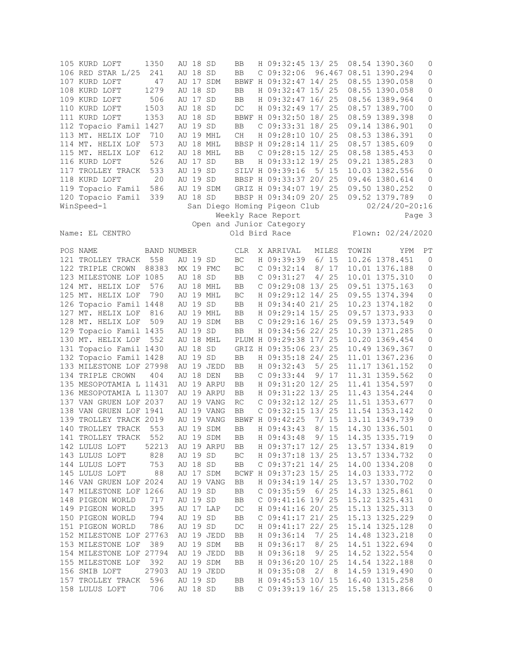| 105 KURD LOFT           | 1350        |    | AU 18 SD |            | BB                         | H 09:32:45 13/ 25            |          |       | 08.54 1390.360        | 0       |
|-------------------------|-------------|----|----------|------------|----------------------------|------------------------------|----------|-------|-----------------------|---------|
| 106 RED STAR L/25       | 241         |    | AU 18 SD |            | BB                         | $C$ 09:32:06                 |          |       | 96.467 08.51 1390.294 | $\circ$ |
| 107 KURD LOFT           | 47          |    |          | AU 17 SDM  |                            | BBWF H 09:32:47 14/ 25       |          |       | 08.55 1390.058        | 0       |
| 108 KURD LOFT           | 1279        |    | AU 18 SD |            | BB                         | H 09:32:47 15/ 25            |          |       | 08.55 1390.058        | 0       |
| 109 KURD LOFT           | 506         |    | AU 17 SD |            | BB                         | H 09:32:47 16/ 25            |          |       | 08.56 1389.964        | $\circ$ |
| 110 KURD LOFT           | 1503        |    | AU 18 SD |            | $DC$                       | H 09:32:49 17/ 25            |          |       | 08.57 1389.700        | 0       |
|                         |             |    | AU 18 SD |            |                            |                              |          |       |                       |         |
| 111 KURD LOFT           | 1353        |    |          |            |                            | BBWF H 09:32:50 18/ 25       |          |       | 08.59 1389.398        | $\circ$ |
| 112 Topacio Famil 1427  |             |    | AU 19 SD |            | BB                         | $C$ 09:33:31 18/25           |          |       | 09.14 1386.901        | 0       |
| 113 MT. HELIX LOF       | 710         |    |          | AU 19 MHL  | CH                         | H 09:28:10 10/ 25            |          |       | 08.53 1386.391        | 0       |
| 114 MT. HELIX LOF       | 573         |    |          | AU 18 MHL  |                            | BBSP H 09:28:14 11/ 25       |          |       | 08.57 1385.609        | $\circ$ |
| 115 MT. HELIX LOF       | 612         | AU |          | 18 MHL     | BB                         | C 09:28:15 12/ 25            |          |       | 08.58 1385.453        | $\circ$ |
| 116 KURD LOFT           | 526         |    | AU 17 SD |            | BB                         | H 09:33:12 19/ 25            |          |       | 09.21 1385.283        | $\circ$ |
| 117 TROLLEY TRACK       | 533         |    |          | AU 19 SD   |                            | SILV H 09:39:16              | 5/15     |       | 10.03 1382.556        | 0       |
| 118 KURD LOFT           | 20          |    |          | AU 19 SD   |                            | BBSP H 09:33:37 20/ 25       |          |       | 09.46 1380.614        | 0       |
| 119 Topacio Famil       | 586         |    |          | AU 19 SDM  |                            | GRIZ H 09:34:07 19/ 25       |          |       | 09.50 1380.252        | 0       |
|                         |             |    |          | AU 18 SD   |                            | BBSP H 09:34:09 20/ 25       |          |       |                       | 0       |
| 120 Topacio Famil       | 339         |    |          |            |                            |                              |          |       | 09.52 1379.789        |         |
| WinSpeed-1              |             |    |          |            |                            | San Diego Homing Pigeon Club |          |       | $02/24/20 - 20:16$    |         |
|                         |             |    |          |            |                            | Weekly Race Report           |          |       |                       | Page 3  |
|                         |             |    |          |            |                            | Open and Junior Category     |          |       |                       |         |
| Name: EL CENTRO         |             |    |          |            |                            | Old Bird Race                |          |       | Flown: 02/24/2020     |         |
|                         |             |    |          |            |                            |                              |          |       |                       |         |
| POS NAME                | BAND NUMBER |    |          |            | CLR                        | X ARRIVAL                    | MILES    | TOWIN | YPM                   | PT      |
| 121 TROLLEY TRACK       | 558         |    | AU 19 SD |            | BC                         | H 09:39:39                   | 6/15     |       | 10.26 1378.451        | 0       |
| 122 TRIPLE CROWN        | 88383       |    |          | MX 19 FMC  | $\operatorname{BC}$        | C 09:32:14                   | 8/17     |       | 10.01 1376.188        | 0       |
| 123 MILESTONE LOF 1085  |             |    | AU 18 SD |            | BB                         | C 09:31:27                   | 4/25     |       | 10.01 1375.310        | 0       |
| 124 MT. HELIX LOF       | 576         |    |          | AU 18 MHL  | BB                         | C 09:29:08 13/ 25            |          |       | 09.51 1375.163        | 0       |
|                         |             |    |          |            |                            |                              |          |       |                       |         |
| 125 MT. HELIX LOF       | 790         |    |          | AU 19 MHL  | BC                         | H 09:29:12 14/ 25            |          |       | 09.55 1374.394        | $\circ$ |
| 126 Topacio Famil 1448  |             |    | AU 19 SD |            | <b>BB</b>                  | H 09:34:40 21/ 25            |          |       | 10.23 1374.182        | $\circ$ |
| 127 MT. HELIX LOF       | 816         |    |          | AU 19 MHL  | BB                         | H 09:29:14 15/ 25            |          |       | 09.57 1373.933        | 0       |
| 128 MT. HELIX LOF       | 509         |    |          | AU 19 SDM  | ${\rm BB}$                 | C 09:29:16 16/ 25            |          |       | 09.59 1373.549        | $\circ$ |
| 129 Topacio Famil 1435  |             |    | AU 19 SD |            | BB                         | H 09:34:56 22/ 25            |          |       | 10.39 1371.285        | $\circ$ |
| 130 MT. HELIX LOF       | 552         |    |          | AU 18 MHL  |                            | PLUM H 09:29:38 17/ 25       |          |       | 10.20 1369.454        | 0       |
| 131 Topacio Famil 1430  |             |    | AU 18 SD |            |                            | GRIZ H 09:35:06 23/ 25       |          |       | 10.49 1369.367        | 0       |
| 132 Topacio Famil 1428  |             |    | AU 19 SD |            | BB                         | H 09:35:18 24/ 25            |          |       | 11.01 1367.236        | 0       |
| 133 MILESTONE LOF 27998 |             |    |          | AU 19 JEDD | BB                         | H 09:32:43                   | 25<br>5/ |       | 11.17 1361.152        | 0       |
| 134 TRIPLE CROWN        | 404         |    |          | AU 18 DEN  | BB                         | $C$ 09:33:44                 | 9/17     |       | 11.31 1359.562        | $\circ$ |
|                         |             |    |          |            |                            |                              |          |       |                       |         |
| 135 MESOPOTAMIA L 11431 |             |    |          | AU 19 ARPU | BB                         | H 09:31:20 12/ 25            |          |       | 11.41 1354.597        | 0       |
| 136 MESOPOTAMIA L 11307 |             |    |          | AU 19 ARPU | BB                         | H 09:31:22 13/ 25            |          |       | 11.43 1354.244        | $\circ$ |
| 137 VAN GRUEN LOF 2037  |             |    |          | AU 19 VANG | RC                         | C 09:32:12 12/ 25            |          |       | 11.51 1353.677        | 0       |
| 138 VAN GRUEN LOF 1941  |             |    |          | AU 19 VANG | BB                         | C 09:32:15 13/ 25            |          |       | 11.54 1353.142        | 0       |
| 139 TROLLEY TRACK 2019  |             |    |          | AU 19 VANG |                            | BBWF H 09:42:25              | 7/15     |       | 13.11 1349.739        | $\circ$ |
| 140 TROLLEY TRACK 553   |             |    |          | AU 19 SDM  | BB                         | H 09:43:43 8/ 15             |          |       | 14.30 1336.501        | $\circ$ |
| 141 TROLLEY TRACK       | 552         |    |          | AU 19 SDM  | BB                         | H 09:43:48                   | 9/15     |       | 14.35 1335.719        | 0       |
| 142 LULUS LOFT          | 52213       |    |          | AU 19 ARPU | BB                         | H 09:37:17 12/ 25            |          |       | 13.57 1334.819        | 0       |
| 143 LULUS LOFT          | 828         |    | AU 19 SD |            | $\operatorname{BC}$        | H 09:37:18 13/ 25            |          |       | 13.57 1334.732        | 0       |
| 144 LULUS LOFT          | 753         |    | AU 18 SD |            | $\rm BB$                   | $C$ 09:37:21 14/ 25          |          |       | 14.00 1334.208        | 0       |
| 145 LULUS LOFT          | 88          |    |          | AU 17 SDM  |                            | BCWF H 09:37:23 15/ 25       |          |       | 14.03 1333.772        | 0       |
|                         |             |    |          |            |                            |                              |          |       |                       |         |
| 146 VAN GRUEN LOF 2024  |             |    |          | AU 19 VANG | BB                         | H 09:34:19 14/ 25            |          |       | 13.57 1330.702        | 0       |
| 147 MILESTONE LOF 1266  |             |    | AU 19 SD |            | $\rm BB$                   | $C$ 09:35:59                 | 6/25     |       | 14.33 1325.861        | 0       |
| 148 PIGEON WORLD        | 717         |    | AU 19 SD |            | $\rm BB$                   | C 09:41:16 19/ 25            |          |       | 15.12 1325.431        | 0       |
| 149 PIGEON WORLD        | 395         |    |          | AU 17 LAP  | $\mathop{\rm DC}\nolimits$ | H 09:41:16 20/ 25            |          |       | 15.13 1325.313        | 0       |
| 150 PIGEON WORLD        | 794         |    | AU 19 SD |            | BB                         | $C$ 09:41:17 21/ 25          |          |       | 15.13 1325.229        | 0       |
| 151 PIGEON WORLD        | 786         |    | AU 19 SD |            | $DC$                       | H 09:41:17 22/ 25            |          |       | 15.14 1325.128        | 0       |
| 152 MILESTONE LOF 27763 |             |    |          | AU 19 JEDD | BB                         | H 09:36:14                   | 7/25     |       | 14.48 1323.218        | 0       |
| 153 MILESTONE LOF       | 389         |    |          | AU 19 SDM  | BB                         | H 09:36:17                   | 8/25     |       | 14.51 1322.694        | $\circ$ |
| 154 MILESTONE LOF 27794 |             |    |          | AU 19 JEDD | BB                         | H 09:36:18                   | 9/25     |       | 14.52 1322.554        | 0       |
|                         |             |    |          |            |                            |                              |          |       |                       |         |
| 155 MILESTONE LOF       | 392         |    |          | AU 19 SDM  | BB                         | H 09:36:20 10/ 25            |          |       | 14.54 1322.188        | 0       |
| 156 SMIB LOFT           | 27903       |    |          | AU 19 JEDD |                            | H 09:35:08                   | 2/8      |       | 14.59 1319.490        | 0       |
| 157 TROLLEY TRACK       | 596         |    | AU 19 SD |            | BB                         | H 09:45:53 10/ 15            |          |       | 16.40 1315.258        | 0       |
| 158 LULUS LOFT          | 706         |    | AU 18 SD |            | BB                         | $C$ 09:39:19 16/ 25          |          |       | 15.58 1313.866        | 0       |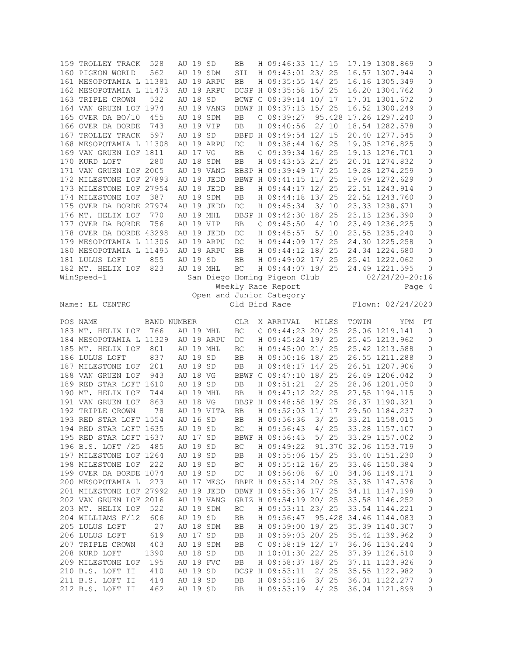|     | 159 TROLLEY TRACK       | 528         | AU 19 SD |            | BB                         | H 09:46:33 11/ 15            |        |       | 17.19 1308.869        | $\circ$             |
|-----|-------------------------|-------------|----------|------------|----------------------------|------------------------------|--------|-------|-----------------------|---------------------|
|     | 160 PIGEON WORLD        | 562         |          | AU 19 SDM  | SIL                        | H 09:43:01 23/ 25            |        |       | 16.57 1307.944        | 0                   |
|     | 161 MESOPOTAMIA L 11381 |             |          | AU 19 ARPU | BB                         | H 09:35:55 14/ 25            |        |       | 16.16 1305.349        | 0                   |
|     | 162 MESOPOTAMIA L 11473 |             |          | AU 19 ARPU |                            | DCSP H 09:35:58 15/ 25       |        |       | 16.20 1304.762        | 0                   |
|     | 163 TRIPLE CROWN        | 532         | AU 18 SD |            |                            | BCWF C 09:39:14 10/ 17       |        |       | 17.01 1301.672        | $\mathsf{O}$        |
|     |                         |             |          |            |                            |                              |        |       |                       |                     |
|     | 164 VAN GRUEN LOF 1974  |             |          | AU 19 VANG |                            | BBWF H 09:37:13 15/ 25       |        |       | 16.52 1300.249        | 0                   |
|     | 165 OVER DA BO/10       | 455         |          | AU 19 SDM  | BB                         | C 09:39:27                   |        |       | 95.428 17.26 1297.240 | 0                   |
|     | 166 OVER DA BORDE       | 743         |          | AU 19 VIP  | <b>BB</b>                  | H 09:40:56                   | 2/10   |       | 18.54 1282.578        | 0                   |
| 167 | TROLLEY TRACK           | 597         | AU 19 SD |            |                            | BBPD H 09:49:54 12/ 15       |        |       | 20.40 1277.545        | 0                   |
|     |                         |             |          |            |                            |                              |        |       |                       |                     |
|     | 168 MESOPOTAMIA L 11308 |             |          | AU 19 ARPU | $\mathop{\rm DC}$          | H 09:38:44 16/ 25            |        |       | 19.05 1276.825        | $\mathsf{O}$        |
|     | 169 VAN GRUEN LOF 1811  |             | AU 17 VG |            | <b>BB</b>                  | C 09:39:34 16/ 25            |        |       | 19.13 1276.701        | $\mathsf{O}$        |
|     | 170 KURD LOFT           | 280         |          | AU 18 SDM  | <b>BB</b>                  | H 09:43:53 21/ 25            |        |       | 20.01 1274.832        | $\mathsf{O}\xspace$ |
|     | 171 VAN GRUEN LOF 2005  |             |          | AU 19 VANG |                            | BBSP H 09:39:49 17/ 25       |        |       | 19.28 1274.259        | 0                   |
|     |                         |             |          |            |                            |                              |        |       |                       |                     |
|     | 172 MILESTONE LOF 27893 |             |          | AU 19 JEDD |                            | BBWF H 09:41:15 11/ 25       |        |       | 19.49 1272.629        | 0                   |
|     | 173 MILESTONE LOF 27954 |             |          | AU 19 JEDD | BB                         | H 09:44:17 12/ 25            |        |       | 22.51 1243.914        | $\mathsf{O}$        |
|     | 174 MILESTONE LOF       | 387         |          | AU 19 SDM  | BB                         | H 09:44:18 13/ 25            |        |       | 22.52 1243.760        | $\mathsf{O}$        |
|     | 175 OVER DA BORDE 27974 |             |          | AU 19 JEDD | DC                         | H 09:45:34                   | 3/10   |       | 23.33 1238.671        | $\mathsf{O}$        |
|     |                         |             |          |            |                            |                              |        |       |                       |                     |
|     | 176 MT. HELIX LOF       | 770         |          | AU 19 MHL  |                            | BBSP H 09:42:30 18/ 25       |        |       | 23.13 1236.390        | 0                   |
|     | 177 OVER DA BORDE       | 756         |          | AU 19 VIP  | BB                         | $C$ 09:45:50                 | 4/10   |       | 23.49 1236.225        | $\mathsf{O}\xspace$ |
|     | 178 OVER DA BORDE 43298 |             |          | AU 19 JEDD | DC                         | H 09:45:57                   | 5/10   |       | 23.55 1235.240        | $\circ$             |
|     | 179 MESOPOTAMIA L 11306 |             |          | AU 19 ARPU | DC                         | H 09:44:09 17/ 25            |        |       | 24.30 1225.258        | $\mathsf{O}$        |
|     |                         |             |          |            |                            |                              |        |       |                       |                     |
|     | 180 MESOPOTAMIA L 11495 |             |          | AU 19 ARPU | BB                         | H 09:44:12 18/ 25            |        |       | 24.34 1224.680        | $\mathsf{O}$        |
|     | 181 LULUS LOFT          | 855         | AU 19 SD |            | <b>BB</b>                  | H 09:49:02 17/ 25            |        |       | 25.41 1222.062        | 0                   |
|     | 182 MT. HELIX LOF       | 823         |          | AU 19 MHL  | $\operatorname{BC}$        | H 09:44:07 19/ 25            |        |       | 24.49 1221.595        | $\mathbf 0$         |
|     | WinSpeed-1              |             |          |            |                            | San Diego Homing Pigeon Club |        |       | $02/24/20 - 20:16$    |                     |
|     |                         |             |          |            |                            | Weekly Race Report           |        |       |                       |                     |
|     |                         |             |          |            |                            |                              |        |       |                       | Page 4              |
|     |                         |             |          |            |                            | Open and Junior Category     |        |       |                       |                     |
|     | Name: EL CENTRO         |             |          |            |                            | Old Bird Race                |        |       | Flown: 02/24/2020     |                     |
|     |                         |             |          |            |                            |                              |        |       |                       |                     |
|     | POS NAME                | BAND NUMBER |          |            | CLR                        | X ARRIVAL                    | MILES  | TOWIN | YPM                   | PT                  |
|     |                         |             |          |            |                            |                              |        |       |                       |                     |
|     | 183 MT. HELIX LOF       | 766         |          | AU 19 MHL  | $\operatorname{BC}$        | $C$ 09:44:23 20/ 25          |        |       | 25.06 1219.141        | 0                   |
|     | 184 MESOPOTAMIA L 11329 |             |          | AU 19 ARPU | DC                         | H 09:45:24 19/ 25            |        |       | 25.45 1213.962        | 0                   |
|     | 185 MT. HELIX LOF       | 801         |          | AU 19 MHL  | BC                         | H 09:45:00 21/ 25            |        |       | 25.42 1213.588        | 0                   |
|     | 186 LULUS LOFT          | 837         | AU 19    | SD         | <b>BB</b>                  | H 09:50:16 18/ 25            |        |       | 26.55 1211.288        | $\mathsf{O}$        |
|     | 187 MILESTONE LOF       | 201         | AU 19 SD |            | <b>BB</b>                  | H 09:48:17 14/ 25            |        |       | 26.51 1207.906        | 0                   |
|     |                         |             |          |            |                            |                              |        |       |                       |                     |
|     | 188 VAN GRUEN LOF       | 943         | AU 18 VG |            |                            | BBWF C 09:47:10 18/ 25       |        |       | 26.49 1206.042        | $\mathsf{O}\xspace$ |
|     | 189 RED STAR LOFT 1610  |             | AU 19 SD |            | <b>BB</b>                  | H 09:51:21                   | 2/25   |       | 28.06 1201.050        | 0                   |
|     | 190 MT. HELIX LOF       | 744         |          | AU 19 MHL  | BB                         | H 09:47:12 22/ 25            |        |       | 27.55 1194.115        | 0                   |
|     | 191 VAN GRUEN LOF       | 863         | AU 18 VG |            |                            | BBSP H 09:48:58 19/ 25       |        |       | 28.37 1190.321        | $\mathsf{O}$        |
|     |                         |             |          |            |                            |                              |        |       |                       |                     |
|     | 192 TRIPLE CROWN        | 78          |          | AU 19 VITA | <b>BB</b>                  | H 09:52:03 11/ 17            |        |       | 29.50 1184.237        | 0                   |
|     | 193 RED STAR LOFT 1554  |             | AU 16 SD |            | <b>BB</b>                  | H 09:56:36                   | 3/25   |       | 33.21 1158.015        | $\circ$             |
|     | 194 RED STAR LOFT 1635  |             | AU 19 SD |            | BC                         | H 09:56:43 4/ 25             |        |       | 33.28 1157.107        | 0                   |
|     | 195 RED STAR LOFT 1637  |             | AU 17 SD |            |                            | BBWF H 09:56:43              | 5/25   |       | 33.29 1157.002        | 0                   |
|     |                         |             |          |            |                            |                              |        |       |                       |                     |
|     | 196 B.S. LOFT /25       | 485         | AU 19 SD |            | $\operatorname{BC}$        | H 09:49:22                   |        |       | 91.370 32.06 1153.719 | 0                   |
|     | 197 MILESTONE LOF 1264  |             | AU 19 SD |            | BB                         | H 09:55:06 15/ 25            |        |       | 33.40 1151.230        | 0                   |
|     | 198 MILESTONE LOF       | 222         | AU 19 SD |            | BC                         | H 09:55:12 16/ 25            |        |       | 33.46 1150.384        | 0                   |
|     | 199 OVER DA BORDE 1074  |             | AU 19 SD |            | $\mathop{\rm DC}\nolimits$ | H 09:56:08                   | 6/10   |       | 34.06 1149.171        | $\circ$             |
|     |                         |             |          |            |                            |                              |        |       |                       |                     |
|     | 200 MESOPOTAMIA L       | 273         |          | AU 17 MESO |                            | BBPE H 09:53:14 20/ 25       |        |       | 33.35 1147.576        | 0                   |
|     | 201 MILESTONE LOF 27992 |             |          | AU 19 JEDD |                            | BBWF H 09:55:36 17/ 25       |        |       | 34.11 1147.198        | 0                   |
|     | 202 VAN GRUEN LOF 2016  |             |          | AU 19 VANG |                            | GRIZ H 09:54:19 20/ 25       |        |       | 33.58 1146.252        | 0                   |
|     | 203 MT. HELIX LOF       | 522         |          | AU 19 SDM  | $\operatorname{BC}$        | H 09:53:11 23/ 25            |        |       | 33.54 1144.221        | 0                   |
|     |                         |             |          |            |                            |                              |        |       |                       |                     |
|     | 204 WILLIAMS F/12       | 606         | AU 19 SD |            | BB                         | H 09:56:47                   | 95.428 |       | 34.46 1144.083        | $\circ$             |
|     | 205 LULUS LOFT          | 27          |          | AU 18 SDM  | BB                         | H 09:59:00 19/ 25            |        |       | 35.39 1140.307        | 0                   |
|     | 206 LULUS LOFT          | 619         | AU 17 SD |            | BB                         | H 09:59:03 20/ 25            |        |       | 35.42 1139.962        | 0                   |
|     | 207 TRIPLE CROWN        |             |          | AU 19 SDM  | BB                         | C 09:58:19 12/ 17            |        |       | 36.06 1134.244        | 0                   |
|     |                         |             |          |            |                            |                              |        |       |                       |                     |
|     |                         | 403         |          |            |                            |                              |        |       |                       |                     |
|     | 208 KURD LOFT           | 1390        | AU 18 SD |            | BB                         | H 10:01:30 22/ 25            |        |       | 37.39 1126.510        | 0                   |
|     | 209 MILESTONE LOF       | 195         |          | AU 19 FVC  | BB                         | H 09:58:37 18/ 25            |        |       | 37.11 1123.926        | 0                   |
|     | 210 B.S. LOFT II        | 410         | AU 19 SD |            |                            | BCSP H 09:53:11              | 2/25   |       | 35.55 1122.982        | 0                   |
|     | 211 B.S. LOFT II        | 414         | AU 19 SD |            | BB                         | H 09:53:16                   | 3/25   |       | 36.01 1122.277        | 0                   |
|     | 212 B.S. LOFT II        | 462         | AU 19 SD |            | BB                         | H 09:53:19 4/ 25             |        |       | 36.04 1121.899        | 0                   |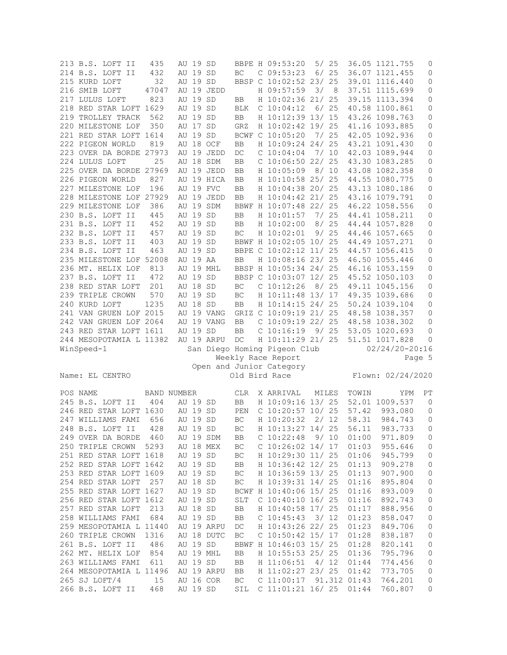| 213 B.S. LOFT II        | 435                |       | AU 19 SD |            |                      | BBPE H 09:53:20              | 5/25   |        |       | 36.05 1121.755     | 0            |
|-------------------------|--------------------|-------|----------|------------|----------------------|------------------------------|--------|--------|-------|--------------------|--------------|
| 214 B.S. LOFT II        | 432                |       | AU 19 SD |            | BC                   | $C$ 09:53:23                 |        | $6/25$ |       | 36.07 1121.455     | 0            |
| 215 KURD LOFT           | 32                 | AU 19 |          | SD         |                      | BBSP C 10:02:52 23/ 25       |        |        |       | 39.01 1116.440     | 0            |
| 216 SMIB LOFT           | 47047              | AU 19 |          | JEDD       |                      | H 09:57:59                   | 3/     | - 8    |       | 37.51 1115.699     | 0            |
|                         |                    |       |          |            |                      |                              |        |        |       |                    |              |
| 217 LULUS LOFT          | 823                | AU 19 |          | SD         | <b>BB</b>            | H 10:02:36 21/ 25            |        |        |       | 39.15 1113.394     | 0            |
| 218 RED STAR LOFT 1629  |                    | AU 19 |          | SD         | <b>BLK</b>           | C 10:04:12                   | 6/25   |        |       | 40.58 1100.861     | 0            |
| 219 TROLLEY TRACK       | 562                |       | AU 19 SD |            | BB                   | H 10:12:39 13/ 15            |        |        |       | 43.26 1098.763     | 0            |
| 220 MILESTONE LOF       | 350                | AU 17 |          | SD         | GRZ                  | H 10:02:42 19/ 25            |        |        |       | 41.16 1093.885     | 0            |
| 221 RED STAR LOFT 1614  |                    | AU 19 |          | SD         | <b>BCWF</b>          | $C$ 10:05:20                 | 7/25   |        |       | 42.05 1092.936     | 0            |
| 222 PIGEON WORLD        | 819                |       |          | AU 18 OCF  | BB                   | H 10:09:24 24/ 25            |        |        |       | 43.21 1091.430     | $\mathsf{O}$ |
| 223 OVER DA BORDE 27973 |                    |       |          | AU 19 JEDD | DC                   | $C$ 10:04:04                 | 7/10   |        |       | 42.03 1089.944     | 0            |
| 224 LULUS LOFT          | 25                 | AU 18 |          |            |                      | C 10:06:50 22/ 25            |        |        |       |                    |              |
|                         |                    |       |          | SDM        | BB                   |                              |        |        |       | 43.30 1083.285     | $\mathsf{O}$ |
| 225 OVER DA BORDE 27969 |                    |       |          | AU 19 JEDD | BB                   | H 10:05:09                   | 8/10   |        |       | 43.08 1082.358     | 0            |
| 226 PIGEON WORLD        | 827                |       |          | AU 19 HICA | <b>BB</b>            | H 10:10:58 25/ 25            |        |        |       | 44.55 1080.775     | 0            |
| 227 MILESTONE LOF       | 196                |       |          | AU 19 FVC  | BB                   | H 10:04:38 20/ 25            |        |        |       | 43.13 1080.186     | 0            |
| 228 MILESTONE LOF 27929 |                    |       |          | AU 19 JEDD | <b>BB</b>            | H 10:04:42 21/ 25            |        |        |       | 43.16 1079.791     | 0            |
| 229 MILESTONE LOF       | 386                |       |          | AU 19 SDM  |                      | BBWF H 10:07:48 22/ 25       |        |        |       | 46.22 1058.556     | $\mathsf{O}$ |
| 230 B.S. LOFT II        | 445                |       | AU 19 SD |            | $_{\rm BB}$          | H 10:01:57                   |        | 7/25   |       | 44.41 1058.211     | 0            |
| 231 B.S. LOFT II        | 452                |       | AU 19 SD |            | BB                   | H 10:02:00                   | 8 / 25 |        |       | 44.44 1057.828     | 0            |
|                         |                    |       |          |            |                      |                              |        |        |       |                    |              |
| 232 B.S. LOFT II        | 457                |       | AU 19 SD |            | BC                   | H 10:02:01                   |        | 9/25   |       | 44.46 1057.665     | $\mathsf{O}$ |
| 233 B.S. LOFT II        | 403                | AU 19 |          | SD         |                      | BBWF H 10:02:05 10/ 25       |        |        |       | 44.49 1057.271     | 0            |
| 234 B.S. LOFT II        | 463                | AU 19 |          | SD         |                      | BBPE C 10:02:12 11/ 25       |        |        |       | 44.57 1056.415     | $\mathsf{O}$ |
| 235 MILESTONE LOF 52008 |                    |       | AU 19 AA |            | BB                   | H 10:08:16 23/ 25            |        |        |       | 46.50 1055.446     | 0            |
| 236 MT. HELIX LOF       | 813                |       |          | AU 19 MHL  |                      | BBSP H 10:05:34 24/ 25       |        |        |       | 46.16 1053.159     | 0            |
| 237 B.S. LOFT II        | 472                |       | AU 19 SD |            |                      | BBSP C 10:03:07 12/ 25       |        |        |       | 45.52 1050.103     | 0            |
| 238 RED STAR LOFT       | 201                |       | AU 18 SD |            | $\operatorname{BC}$  | $C$ 10:12:26                 | 8/25   |        |       | 49.11 1045.156     | 0            |
|                         |                    |       |          |            |                      |                              |        |        |       |                    |              |
| 239 TRIPLE CROWN        | 570                | AU 19 |          | SD         | BC                   | H 10:11:48 13/ 17            |        |        |       | 49.35 1039.686     | $\mathsf{O}$ |
| 240 KURD LOFT           | 1235               |       | AU 18 SD |            | BB                   | H 10:14:15 24/ 25            |        |        |       | 50.24 1039.104     | 0            |
| 241 VAN GRUEN LOF 2015  |                    |       |          | AU 19 VANG |                      | GRIZ C 10:09:19 21/ 25       |        |        |       | 48.58 1038.357     | $\mathbf 0$  |
| 242 VAN GRUEN LOF 2064  |                    |       |          | AU 19 VANG | BB                   | C 10:09:19 22/ 25            |        |        |       | 48.58 1038.302     | $\mathbf 0$  |
|                         |                    |       |          |            |                      |                              |        |        |       |                    |              |
| 243 RED STAR LOFT 1611  |                    |       |          |            | BB                   |                              |        |        |       | 53.05 1020.693     | 0            |
|                         |                    |       | AU 19 SD |            |                      | C 10:16:19                   | 9/25   |        |       |                    |              |
| 244 MESOPOTAMIA L 11382 |                    |       |          | AU 19 ARPU | DC                   | H 10:11:29 21/ 25            |        |        |       | 51.51 1017.828     | 0            |
| WinSpeed-1              |                    |       |          |            |                      | San Diego Homing Pigeon Club |        |        |       | $02/24/20 - 20:16$ |              |
|                         |                    |       |          |            |                      | Weekly Race Report           |        |        |       |                    | Page 5       |
|                         |                    |       |          |            |                      | Open and Junior Category     |        |        |       |                    |              |
| Name: EL CENTRO         |                    |       |          |            |                      | Old Bird Race                |        |        |       | Flown: 02/24/2020  |              |
|                         |                    |       |          |            |                      |                              |        |        |       |                    |              |
| POS NAME                | <b>BAND NUMBER</b> |       |          |            | <b>CLR</b>           | X ARRIVAL                    | MILES  |        | TOWIN | YPM                | PT           |
|                         | 404                | AU 19 |          | SD         |                      |                              |        |        |       |                    | 0            |
| 245 B.S. LOFT II        |                    |       |          |            | $_{\rm BB}$          | H 10:09:16 13/ 25            |        |        |       | 52.01 1009.537     |              |
| 246 RED STAR LOFT 1630  |                    | AU 19 |          | SD         | PEN                  | C 10:20:57 10/ 25            |        |        | 57.42 | 993.080            | 0            |
| 247 WILLIAMS FAMI       | 656                | AU 19 |          | SD         | BC                   | H 10:20:32                   | 2/12   |        | 58.31 | 984.743            | 0            |
| 248 B.S. LOFT II        | 428                |       | AU 19 SD |            | BC                   | H 10:13:27 14/ 25            |        |        | 56.11 | 983.733            | 0            |
| 249 OVER DA BORDE 460   |                    |       |          | AU 19 SDM  | BB                   | $C$ 10:22:48 9/10            |        |        | 01:00 | 971.809            | 0            |
| 250 TRIPLE CROWN 5293   |                    |       |          | AU 18 MEX  | BC                   | $C$ 10:26:02 14/ 17          |        |        | 01:03 | 955.646            | $\circ$      |
| 251 RED STAR LOFT 1618  |                    |       |          | AU 19 SD   | $\operatorname{BC}$  | H 10:29:30 11/ 25            |        |        | 01:06 | 945.799            | $\mathsf{O}$ |
|                         |                    |       |          |            | BB                   |                              |        |        | 01:13 |                    |              |
| 252 RED STAR LOFT 1642  |                    |       | AU 19 SD |            |                      | H 10:36:42 12/ 25            |        |        |       | 909.278            | $\mathbf 0$  |
| 253 RED STAR LOFT 1609  |                    |       | AU 19 SD |            | BC                   | H 10:36:59 13/ 25            |        |        | 01:13 | 907.900            | $\mathsf{O}$ |
| 254 RED STAR LOFT 257   |                    |       | AU 18 SD |            | BC                   | H 10:39:31 14/ 25            |        |        | 01:16 | 895.804            | $\mathbb O$  |
| 255 RED STAR LOFT 1627  |                    |       | AU 19 SD |            |                      | BCWF H 10:40:06 15/ 25       |        |        | 01:16 | 893.009            | $\mathbb O$  |
| 256 RED STAR LOFT 1612  |                    |       | AU 19 SD |            | $\operatorname{SLT}$ | $C$ 10:40:10 16/25           |        |        | 01:16 | 892.743            | $\mathsf{O}$ |
| 257 RED STAR LOFT       | 213                |       | AU 18 SD |            | BB                   | H 10:40:58 17/ 25            |        |        | 01:17 | 888.956            | $\mathbb O$  |
| 258 WILLIAMS FAMI 684   |                    |       | AU 19 SD |            | BB                   | $C$ 10:45:43 3/12            |        |        | 01:23 | 858.047            | $\mathbf 0$  |
|                         |                    |       |          | AU 19 ARPU | $DC$                 |                              |        |        | 01:23 |                    |              |
| 259 MESOPOTAMIA L 11440 |                    |       |          |            |                      | H 10:43:26 22/ 25            |        |        |       | 849.706            | $\mathsf{O}$ |
| 260 TRIPLE CROWN 1316   |                    |       |          | AU 18 DUTC | BC                   | $C$ 10:50:42 15/ 17          |        |        | 01:28 | 838.187            | $\mathbb O$  |
| 261 B.S. LOFT II        | 486                |       | AU 19 SD |            |                      | BBWF H 10:46:03 15/ 25       |        |        | 01:28 | 820.141            | $\mathbf 0$  |
| 262 MT. HELIX LOF       | 854                |       |          | AU 19 MHL  | BB                   | H 10:55:53 25/ 25            |        |        | 01:36 | 795.796            | $\mathbb O$  |
| 263 WILLIAMS FAMI 611   |                    |       |          | AU 19 SD   | BB                   | H 11:06:51 4/ 12             |        |        | 01:44 | 774.456            | 0            |
| 264 MESOPOTAMIA L 11496 |                    |       |          | AU 19 ARPU | BB                   | H 11:02:27 23/ 25            |        |        | 01:42 | 773.705            | $\mathsf{O}$ |
| 265 SJ LOFT/4 15        |                    |       |          | AU 16 COR  | BC                   | $C$ 11:00:17 91.312 01:43    |        |        |       | 764.201            | $\mathbf 0$  |